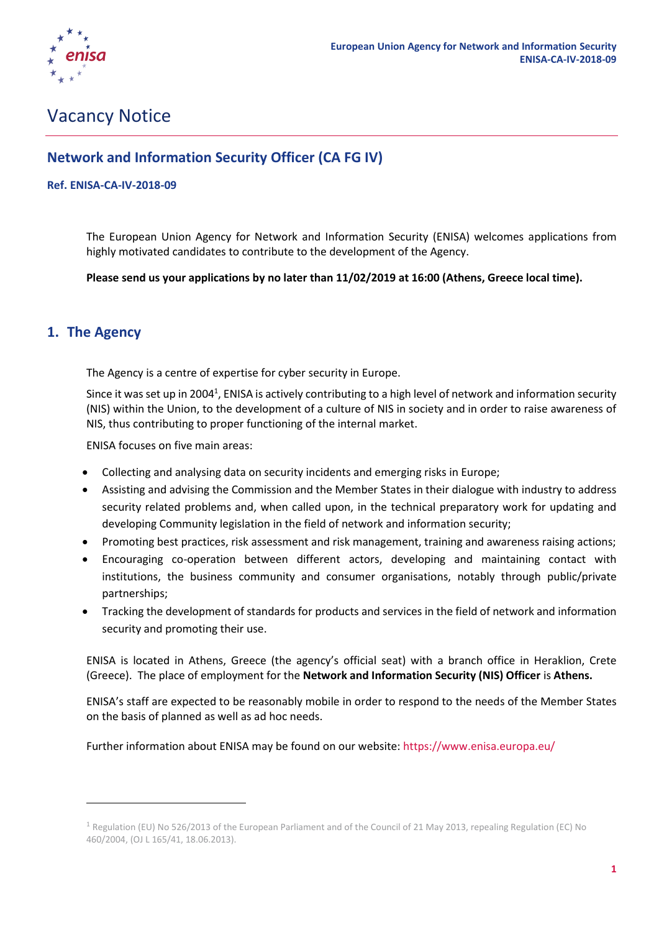

# Vacancy Notice

# **Network and Information Security Officer (CA FG IV)**

#### **Ref. ENISA-CA-IV-2018-09**

The European Union Agency for Network and Information Security (ENISA) welcomes applications from highly motivated candidates to contribute to the development of the Agency.

**Please send us your applications by no later than 11/02/2019 at 16:00 (Athens, Greece local time).**

### **1. The Agency**

**.** 

The Agency is a centre of expertise for cyber security in Europe.

Since it was set up in 2004<sup>1</sup>, ENISA is actively contributing to a high level of network and information security (NIS) within the Union, to the development of a culture of NIS in society and in order to raise awareness of NIS, thus contributing to proper functioning of the internal market.

ENISA focuses on five main areas:

- Collecting and analysing data on security incidents and emerging risks in Europe;
- Assisting and advising the Commission and the Member States in their dialogue with industry to address security related problems and, when called upon, in the technical preparatory work for updating and developing Community legislation in the field of network and information security;
- Promoting best practices, risk assessment and risk management, training and awareness raising actions;
- Encouraging co-operation between different actors, developing and maintaining contact with institutions, the business community and consumer organisations, notably through public/private partnerships;
- Tracking the development of standards for products and services in the field of network and information security and promoting their use.

ENISA is located in Athens, Greece (the agency's official seat) with a branch office in Heraklion, Crete (Greece). The place of employment for the **Network and Information Security (NIS) Officer** is **Athens.** 

ENISA's staff are expected to be reasonably mobile in order to respond to the needs of the Member States on the basis of planned as well as ad hoc needs.

Further information about ENISA may be found on our website:<https://www.enisa.europa.eu/>

<sup>&</sup>lt;sup>1</sup> Regulation (EU) No 526/2013 of the European Parliament and of the Council of 21 May 2013, repealing Regulation (EC) No 460/2004, (OJ L 165/41, 18.06.2013).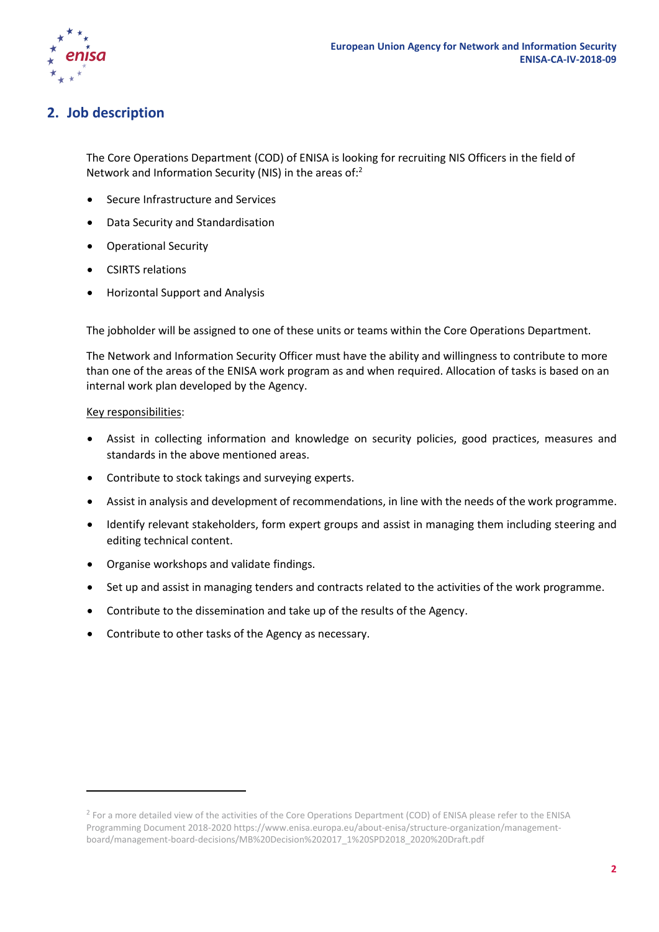

# **2. Job description**

The Core Operations Department (COD) of ENISA is looking for recruiting NIS Officers in the field of Network and Information Security (NIS) in the areas of: 2

- Secure Infrastructure and Services
- Data Security and Standardisation
- Operational Security
- CSIRTS relations
- Horizontal Support and Analysis

The jobholder will be assigned to one of these units or teams within the Core Operations Department.

The Network and Information Security Officer must have the ability and willingness to contribute to more than one of the areas of the ENISA work program as and when required. Allocation of tasks is based on an internal work plan developed by the Agency.

#### Key responsibilities:

**.** 

- Assist in collecting information and knowledge on security policies, good practices, measures and standards in the above mentioned areas.
- Contribute to stock takings and surveying experts.
- Assist in analysis and development of recommendations, in line with the needs of the work programme.
- Identify relevant stakeholders, form expert groups and assist in managing them including steering and editing technical content.
- Organise workshops and validate findings.
- Set up and assist in managing tenders and contracts related to the activities of the work programme.
- Contribute to the dissemination and take up of the results of the Agency.
- Contribute to other tasks of the Agency as necessary.

<sup>&</sup>lt;sup>2</sup> For a more detailed view of the activities of the Core Operations Department (COD) of ENISA please refer to the ENISA Programming Document 2018-2020 https://www.enisa.europa.eu/about-enisa/structure-organization/managementboard/management-board-decisions/MB%20Decision%202017\_1%20SPD2018\_2020%20Draft.pdf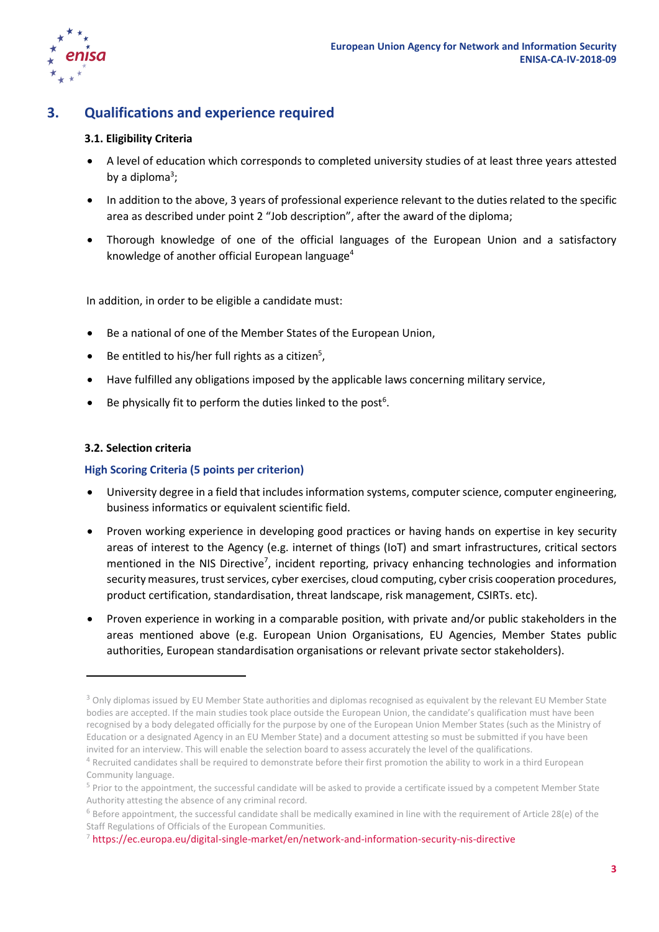

# **3. Qualifications and experience required**

#### **3.1. Eligibility Criteria**

- A level of education which corresponds to completed university studies of at least three years attested by a diploma<sup>3</sup>;
- In addition to the above, 3 years of professional experience relevant to the duties related to the specific area as described under point 2 "Job description", after the award of the diploma;
- Thorough knowledge of one of the official languages of the European Union and a satisfactory knowledge of another official European language<sup>4</sup>

In addition, in order to be eligible a candidate must:

- Be a national of one of the Member States of the European Union,
- $\bullet$  Be entitled to his/her full rights as a citizen<sup>5</sup>,
- Have fulfilled any obligations imposed by the applicable laws concerning military service,
- $\bullet$  Be physically fit to perform the duties linked to the post<sup>6</sup>.

#### **3.2. Selection criteria**

**.** 

#### **High Scoring Criteria (5 points per criterion)**

- University degree in a field that includes information systems, computer science, computer engineering, business informatics or equivalent scientific field.
- Proven working experience in developing good practices or having hands on expertise in key security areas of interest to the Agency (e.g. internet of things (IoT) and smart infrastructures, critical sectors mentioned in the NIS Directive<sup>7</sup>, incident reporting, privacy enhancing technologies and information security measures, trust services, cyber exercises, cloud computing, cyber crisis cooperation procedures, product certification, standardisation, threat landscape, risk management, CSIRTs. etc).
- Proven experience in working in a comparable position, with private and/or public stakeholders in the areas mentioned above (e.g. European Union Organisations, EU Agencies, Member States public authorities, European standardisation organisations or relevant private sector stakeholders).

<sup>&</sup>lt;sup>3</sup> Only diplomas issued by EU Member State authorities and diplomas recognised as equivalent by the relevant EU Member State bodies are accepted. If the main studies took place outside the European Union, the candidate's qualification must have been recognised by a body delegated officially for the purpose by one of the European Union Member States (such as the Ministry of Education or a designated Agency in an EU Member State) and a document attesting so must be submitted if you have been invited for an interview. This will enable the selection board to assess accurately the level of the qualifications.

<sup>&</sup>lt;sup>4</sup> Recruited candidates shall be required to demonstrate before their first promotion the ability to work in a third European Community language.

<sup>&</sup>lt;sup>5</sup> Prior to the appointment, the successful candidate will be asked to provide a certificate issued by a competent Member State Authority attesting the absence of any criminal record.

 $6$  Before appointment, the successful candidate shall be medically examined in line with the requirement of Article 28(e) of the Staff Regulations of Officials of the European Communities.

<sup>7</sup> <https://ec.europa.eu/digital-single-market/en/network-and-information-security-nis-directive>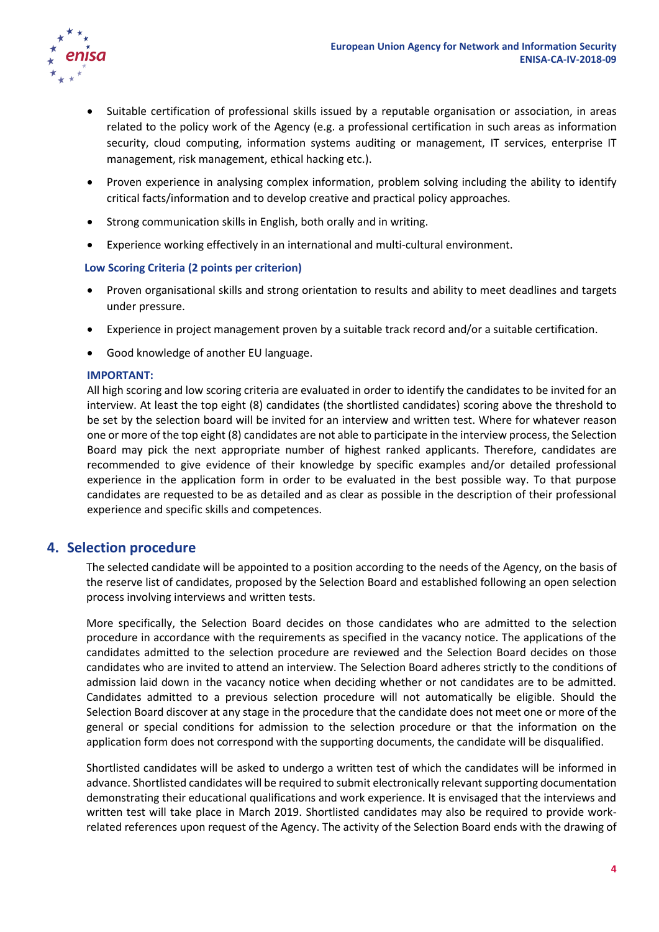

- Suitable certification of professional skills issued by a reputable organisation or association, in areas related to the policy work of the Agency (e.g. a professional certification in such areas as information security, cloud computing, information systems auditing or management, IT services, enterprise IT management, risk management, ethical hacking etc.).
- Proven experience in analysing complex information, problem solving including the ability to identify critical facts/information and to develop creative and practical policy approaches.
- Strong communication skills in English, both orally and in writing.
- Experience working effectively in an international and multi-cultural environment.

#### **Low Scoring Criteria (2 points per criterion)**

- Proven organisational skills and strong orientation to results and ability to meet deadlines and targets under pressure.
- Experience in project management proven by a suitable track record and/or a suitable certification.
- Good knowledge of another EU language.

#### **IMPORTANT:**

All high scoring and low scoring criteria are evaluated in order to identify the candidates to be invited for an interview. At least the top eight (8) candidates (the shortlisted candidates) scoring above the threshold to be set by the selection board will be invited for an interview and written test. Where for whatever reason one or more of the top eight (8) candidates are not able to participate in the interview process, the Selection Board may pick the next appropriate number of highest ranked applicants. Therefore, candidates are recommended to give evidence of their knowledge by specific examples and/or detailed professional experience in the application form in order to be evaluated in the best possible way. To that purpose candidates are requested to be as detailed and as clear as possible in the description of their professional experience and specific skills and competences.

#### **4. Selection procedure**

The selected candidate will be appointed to a position according to the needs of the Agency, on the basis of the reserve list of candidates, proposed by the Selection Board and established following an open selection process involving interviews and written tests.

More specifically, the Selection Board decides on those candidates who are admitted to the selection procedure in accordance with the requirements as specified in the vacancy notice. The applications of the candidates admitted to the selection procedure are reviewed and the Selection Board decides on those candidates who are invited to attend an interview. The Selection Board adheres strictly to the conditions of admission laid down in the vacancy notice when deciding whether or not candidates are to be admitted. Candidates admitted to a previous selection procedure will not automatically be eligible. Should the Selection Board discover at any stage in the procedure that the candidate does not meet one or more of the general or special conditions for admission to the selection procedure or that the information on the application form does not correspond with the supporting documents, the candidate will be disqualified.

Shortlisted candidates will be asked to undergo a written test of which the candidates will be informed in advance. Shortlisted candidates will be required to submit electronically relevant supporting documentation demonstrating their educational qualifications and work experience. It is envisaged that the interviews and written test will take place in March 2019. Shortlisted candidates may also be required to provide workrelated references upon request of the Agency. The activity of the Selection Board ends with the drawing of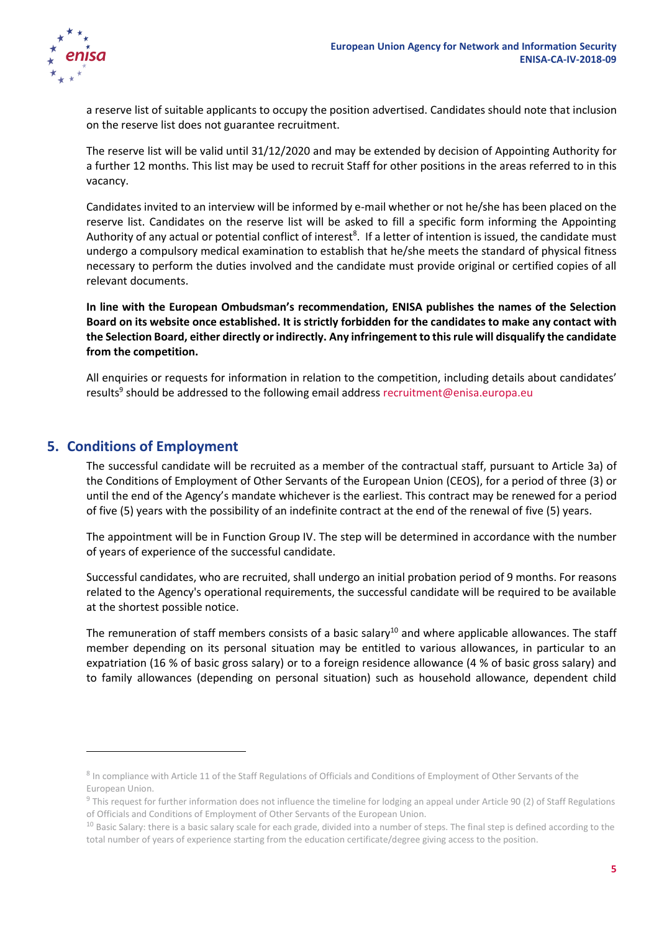

a reserve list of suitable applicants to occupy the position advertised. Candidates should note that inclusion on the reserve list does not guarantee recruitment.

The reserve list will be valid until 31/12/2020 and may be extended by decision of Appointing Authority for a further 12 months. This list may be used to recruit Staff for other positions in the areas referred to in this vacancy.

Candidates invited to an interview will be informed by e-mail whether or not he/she has been placed on the reserve list. Candidates on the reserve list will be asked to fill a specific form informing the Appointing Authority of any actual or potential conflict of interest<sup>8</sup>. If a letter of intention is issued, the candidate must undergo a compulsory medical examination to establish that he/she meets the standard of physical fitness necessary to perform the duties involved and the candidate must provide original or certified copies of all relevant documents.

**In line with the European Ombudsman's recommendation, ENISA publishes the names of the Selection Board on its website once established. It is strictly forbidden for the candidates to make any contact with the Selection Board, either directly or indirectly. Any infringement to this rule will disqualify the candidate from the competition.**

All enquiries or requests for information in relation to the competition, including details about candidates' results<sup>9</sup> should be addressed to the following email address [recruitment@enisa.europa.eu](mailto:recruitment@enisa.europa.eu)

### **5. Conditions of Employment**

 $\overline{a}$ 

The successful candidate will be recruited as a member of the contractual staff, pursuant to Article 3a) of the Conditions of Employment of Other Servants of the European Union (CEOS), for a period of three (3) or until the end of the Agency's mandate whichever is the earliest. This contract may be renewed for a period of five (5) years with the possibility of an indefinite contract at the end of the renewal of five (5) years.

The appointment will be in Function Group IV. The step will be determined in accordance with the number of years of experience of the successful candidate.

Successful candidates, who are recruited, shall undergo an initial probation period of 9 months. For reasons related to the Agency's operational requirements, the successful candidate will be required to be available at the shortest possible notice.

The remuneration of staff members consists of a basic salary<sup>10</sup> and where applicable allowances. The staff member depending on its personal situation may be entitled to various allowances, in particular to an expatriation (16 % of basic gross salary) or to a foreign residence allowance (4 % of basic gross salary) and to family allowances (depending on personal situation) such as household allowance, dependent child

<sup>&</sup>lt;sup>8</sup> In compliance with Article 11 of the Staff Regulations of Officials and Conditions of Employment of Other Servants of the European Union.

 $9$  This request for further information does not influence the timeline for lodging an appeal under Article 90 (2) of Staff Regulations of Officials and Conditions of Employment of Other Servants of the European Union.

 $10$  Basic Salary: there is a basic salary scale for each grade, divided into a number of steps. The final step is defined according to the total number of years of experience starting from the education certificate/degree giving access to the position.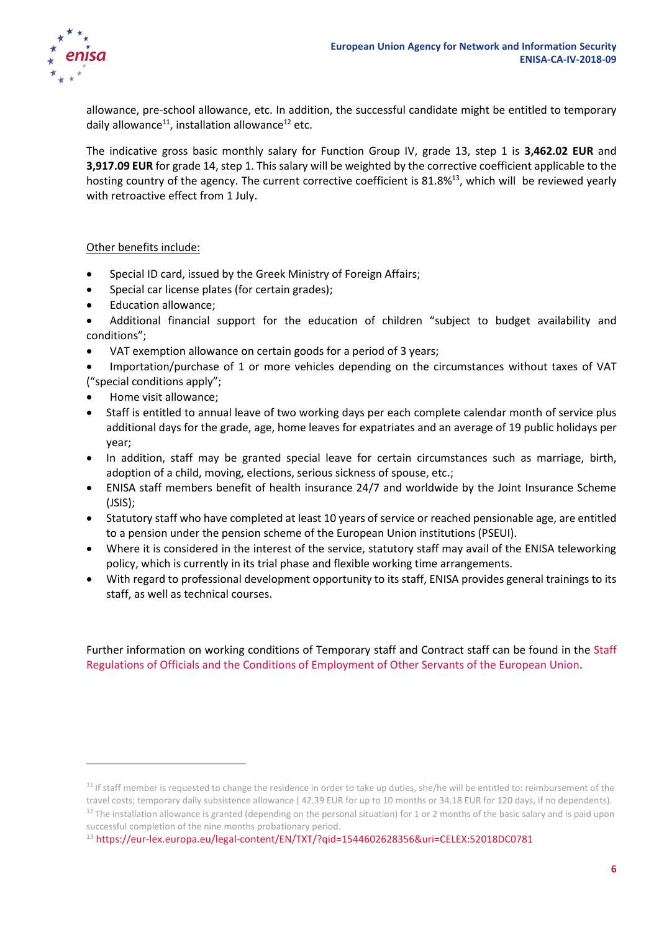

allowance, pre-school allowance, etc. In addition, the successful candidate might be entitled to temporary daily allowance<sup>11</sup>, installation allowance<sup>12</sup> etc.

The indicative gross basic monthly salary for Function Group IV, grade 13, step 1 is **3,462.02 EUR** and **3,917.09 EUR** for grade 14, step 1. This salary will be weighted by the corrective coefficient applicable to the hosting country of the agency. The current corrective coefficient is 81.8%<sup>13</sup>, which will be reviewed yearly with retroactive effect from 1 July.

Other benefits include:

- Special ID card, issued by the Greek Ministry of Foreign Affairs;
- Special car license plates (for certain grades);
- Education allowance;
- Additional financial support for the education of children "subject to budget availability and conditions";
- VAT exemption allowance on certain goods for a period of 3 years;

 Importation/purchase of 1 or more vehicles depending on the circumstances without taxes of VAT ("special conditions apply";

Home visit allowance;

**.** 

- Staff is entitled to annual leave of two working days per each complete calendar month of service plus additional days for the grade, age, home leaves for expatriates and an average of 19 public holidays per year;
- In addition, staff may be granted special leave for certain circumstances such as marriage, birth, adoption of a child, moving, elections, serious sickness of spouse, etc.;
- ENISA staff members benefit of health insurance 24/7 and worldwide by the Joint Insurance Scheme (JSIS);
- Statutory staff who have completed at least 10 years of service or reached pensionable age, are entitled to a pension under the pension scheme of the European Union institutions (PSEUI).
- Where it is considered in the interest of the service, statutory staff may avail of the ENISA teleworking policy, which is currently in its trial phase and flexible working time arrangements.
- With regard to professional development opportunity to its staff, ENISA provides general trainings to its staff, as well as technical courses.

Further information on working conditions of Temporary staff and Contract staff can be found in the [Staff](http://eur-lex.europa.eu/legal-content/EN/TXT/?qid=1433861011292&uri=CELEX:01962R0031-20140701)  [Regulations of Officials and the Conditions of Employment of Other Servants of the European Union.](http://eur-lex.europa.eu/legal-content/EN/TXT/?qid=1433861011292&uri=CELEX:01962R0031-20140701)

<sup>&</sup>lt;sup>11</sup> If staff member is requested to change the residence in order to take up duties, she/he will be entitled to: reimbursement of the travel costs; temporary daily subsistence allowance ( 42.39 EUR for up to 10 months or 34.18 EUR for 120 days, if no dependents). <sup>12</sup> The installation allowance is granted (depending on the personal situation) for 1 or 2 months of the basic salary and is paid upon

successful completion of the nine months probationary period. <sup>13</sup> <https://eur-lex.europa.eu/legal-content/EN/TXT/?qid=1544602628356&uri=CELEX:52018DC0781>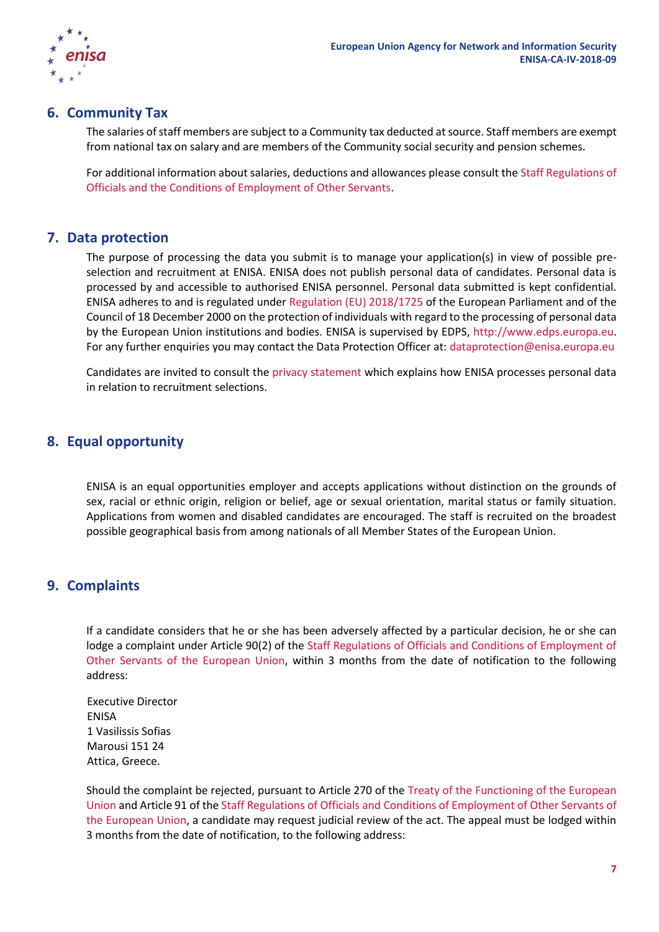

### **6. Community Tax**

The salaries of staff members are subject to a Community tax deducted at source. Staff members are exempt from national tax on salary and are members of the Community social security and pension schemes.

For additional information about salaries, deductions and allowances please consult the [Staff Regulations of](http://eur-lex.europa.eu/legal-content/EN/TXT/?qid=1433861011292&uri=CELEX:01962R0031-20140701)  [Officials and the Conditions of Employment of Other Servants.](http://eur-lex.europa.eu/legal-content/EN/TXT/?qid=1433861011292&uri=CELEX:01962R0031-20140701)

### **7. Data protection**

The purpose of processing the data you submit is to manage your application(s) in view of possible preselection and recruitment at ENISA. ENISA does not publish personal data of candidates. Personal data is processed by and accessible to authorised ENISA personnel. Personal data submitted is kept confidential. ENISA adheres to and is regulated under [Regulation \(EU\) 2018/1725](https://eur-lex.europa.eu/legal-content/EN/TXT/?uri=CELEX:32018R1725) of the European Parliament and of the Council of 18 December 2000 on the protection of individuals with regard to the processing of personal data by the European Union institutions and bodies. ENISA is supervised by EDPS, [http://www.edps.europa.eu.](http://www.edps.europa.eu/) For any further enquiries you may contact the Data Protection Officer at: [dataprotection@enisa.europa.eu](mailto:dataprotection@enisa.europa.eu)

Candidates are invited to consult the [privacy statement](https://www.enisa.europa.eu/recruitment/working-for-enisa/privacy-statement-in-relation-to-recruitment-at-enisa) which explains how ENISA processes personal data in relation to recruitment selections.

## **8. Equal opportunity**

ENISA is an equal opportunities employer and accepts applications without distinction on the grounds of sex, racial or ethnic origin, religion or belief, age or sexual orientation, marital status or family situation. Applications from women and disabled candidates are encouraged. The staff is recruited on the broadest possible geographical basis from among nationals of all Member States of the European Union.

### **9. Complaints**

If a candidate considers that he or she has been adversely affected by a particular decision, he or she can lodge a complaint under Article 90(2) of the [Staff Regulations of Officials and Conditions of Employment of](http://eur-lex.europa.eu/legal-content/EN/TXT/?qid=1433861011292&uri=CELEX:01962R0031-20140701)  [Other Servants of the European Union,](http://eur-lex.europa.eu/legal-content/EN/TXT/?qid=1433861011292&uri=CELEX:01962R0031-20140701) within 3 months from the date of notification to the following address:

Executive Director ENISA 1 Vasilissis Sofias Marousi 151 24 Attica, Greece.

Should the complaint be rejected, pursuant to Article 270 of the [Treaty of the Functioning of the European](http://eur-lex.europa.eu/legal-content/EN/TXT/PDF/?uri=CELEX:12012E/TXT&from=EN)  [Union](http://eur-lex.europa.eu/legal-content/EN/TXT/PDF/?uri=CELEX:12012E/TXT&from=EN) and Article 91 of the [Staff Regulations of Officials and Conditions of Employment of Other Servants of](http://eur-lex.europa.eu/legal-content/EN/TXT/?qid=1433861011292&uri=CELEX:01962R0031-20140701)  [the European Union,](http://eur-lex.europa.eu/legal-content/EN/TXT/?qid=1433861011292&uri=CELEX:01962R0031-20140701) a candidate may request judicial review of the act. The appeal must be lodged within 3 months from the date of notification, to the following address: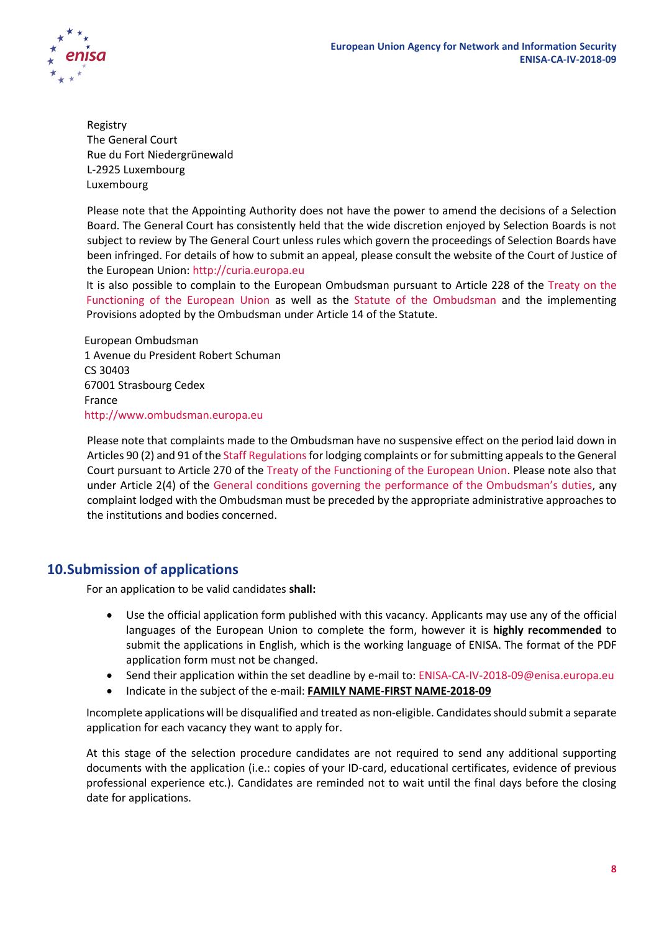

Registry The General Court Rue du Fort Niedergrünewald L-2925 Luxembourg Luxembourg

Please note that the Appointing Authority does not have the power to amend the decisions of a Selection Board. The General Court has consistently held that the wide discretion enjoyed by Selection Boards is not subject to review by The General Court unless rules which govern the proceedings of Selection Boards have been infringed. For details of how to submit an appeal, please consult the website of the Court of Justice of the European Union: [http://curia.europa.eu](http://curia.europa.eu/)

It is also possible to complain to the European Ombudsman pursuant to Article 228 of the [Treaty on the](http://eur-lex.europa.eu/legal-content/EN/TXT/PDF/?uri=CELEX:12012E/TXT&from=EN)  [Functioning of the European Union](http://eur-lex.europa.eu/legal-content/EN/TXT/PDF/?uri=CELEX:12012E/TXT&from=EN) as well as the [Statute of the Ombudsman](https://www.ombudsman.europa.eu/en/resources/statute.faces#hl14) and the implementing Provisions adopted by the Ombudsman under Article 14 of the Statute.

European Ombudsman 1 Avenue du President Robert Schuman CS 30403 67001 Strasbourg Cedex France [http://www.ombudsman.europa.eu](http://www.ombudsman.europa.eu/)

Please note that complaints made to the Ombudsman have no suspensive effect on the period laid down in Articles 90 (2) and 91 of the [Staff Regulations](http://eur-lex.europa.eu/legal-content/EN/TXT/?qid=1433861011292&uri=CELEX:01962R0031-20140701)for lodging complaints or for submitting appeals to the General Court pursuant to Article 270 of the [Treaty of the Functioning of the European Union.](http://eur-lex.europa.eu/legal-content/EN/TXT/PDF/?uri=CELEX:12012E/TXT&from=EN) Please note also that under Article 2(4) of the [General conditions governing the performance of the Ombudsman's duties](https://www.ombudsman.europa.eu/en/resources/statute.faces), any complaint lodged with the Ombudsman must be preceded by the appropriate administrative approaches to the institutions and bodies concerned.

### **10.Submission of applications**

For an application to be valid candidates **shall:**

- Use the official application form published with this vacancy. Applicants may use any of the official languages of the European Union to complete the form, however it is **highly recommended** to submit the applications in English, which is the working language of ENISA. The format of the PDF application form must not be changed.
- Send their application within the set deadline by e-mail to: [ENISA-CA-IV-2018-09@enisa.europa.eu](mailto:ENISA-CA-IV-2018-09@enisa.europa.eu)
- Indicate in the subject of the e-mail: **FAMILY NAME-FIRST NAME-2018-09**

Incomplete applications will be disqualified and treated as non-eligible. Candidates should submit a separate application for each vacancy they want to apply for.

At this stage of the selection procedure candidates are not required to send any additional supporting documents with the application (i.e.: copies of your ID-card, educational certificates, evidence of previous professional experience etc.). Candidates are reminded not to wait until the final days before the closing date for applications.